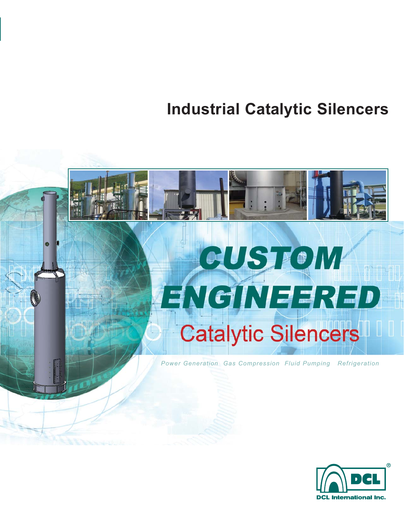**Industrial Catalytic Silencers**

# $\bullet$ CUSTOM ENGINEERED **Catalytic Silencers** *Power Generation Gas Compression Fluid Pumping Refrigeration*

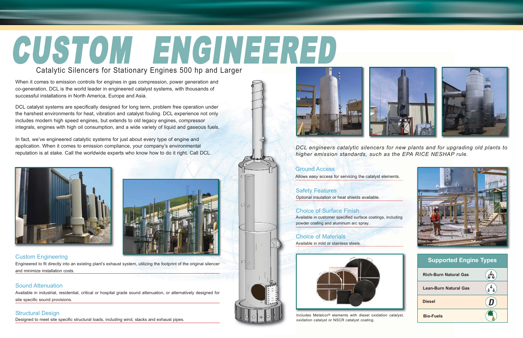oxidation catalyst or NSCR catalyst coating.



*DCL engineers catalytic silencers for new plants and for upgrading old plants to*

*higher emission standards, such as the EPA RICE NESHAP rule.*



# Ground Access

Safety Features Optional insulation or heat shields available.

## Choice of Surface Finish

powder coating and aluminum arc spray.

## Choice of Materials

Available in mild or stainless steels.



## Custom Engineering

Engineered to fit directly into an existing plant's exhaust system, utilizing the footprint of the original silencer and minimize installation costs.

#### Sound Attenuation

Available in industrial, residential, critical or hospital grade sound attenuation, or alternatively designed for site specific sound provisions.

#### Structural Design

# CUSTOM ENGINEERED Catalytic Silencers for Stationary Engines 500 hp and Larger

Designed to meet site specific structural loads, including wind, stacks and exhaust pipes.





When it comes to emission controls for engines in gas compression, power generation and co-generation, DCL is the world leader in engineered catalyst systems, with thousands of successful installations in North America, Europe and Asia.

DCL catalyst systems are specifically designed for long term, problem free operation under the harshest environments for heat, vibration and catalyst fouling. DCL experience not only includes modern high speed engines, but extends to old legacy engines, compressor integrals, engines with high oil consumption, and a wide variety of liquid and gaseous fuels.

In fact, we've engineered catalytic systems for just about every type of engine and application. When it comes to emission compliance, your company's environmental reputation is at stake. Call the worldwide experts who know how to do it right. Call DCL.